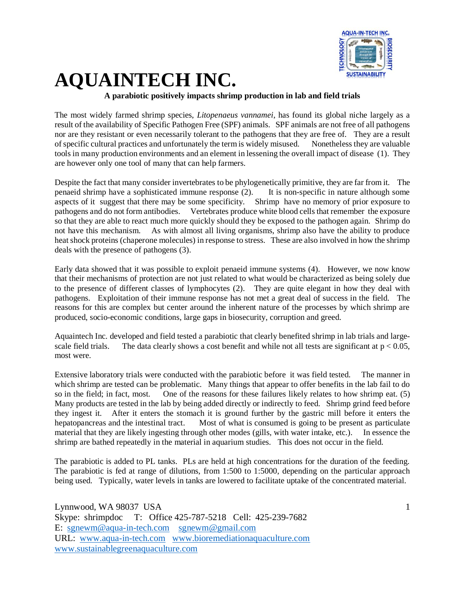

### **A parabiotic positively impacts shrimp production in lab and field trials**

The most widely farmed shrimp species, *Litopenaeus vannamei*, has found its global niche largely as a result of the availability of Specific Pathogen Free (SPF) animals. SPF animals are not free of all pathogens nor are they resistant or even necessarily tolerant to the pathogens that they are free of. They are a result of specific cultural practices and unfortunately the term is widely misused. Nonetheless they are valuable tools in many production environments and an element in lessening the overall impact of disease (1). They are however only one tool of many that can help farmers.

Despite the fact that many consider invertebrates to be phylogenetically primitive, they are far from it. The penaeid shrimp have a sophisticated immune response (2). It is non-specific in nature although some aspects of it suggest that there may be some specificity. Shrimp have no memory of prior exposure to pathogens and do not form antibodies. Vertebrates produce white blood cells that remember the exposure so that they are able to react much more quickly should they be exposed to the pathogen again. Shrimp do not have this mechanism. As with almost all living organisms, shrimp also have the ability to produce heat shock proteins (chaperone molecules) in response to stress. These are also involved in how the shrimp deals with the presence of pathogens (3).

Early data showed that it was possible to exploit penaeid immune systems (4). However, we now know that their mechanisms of protection are not just related to what would be characterized as being solely due to the presence of different classes of lymphocytes (2). They are quite elegant in how they deal with pathogens. Exploitation of their immune response has not met a great deal of success in the field. The reasons for this are complex but center around the inherent nature of the processes by which shrimp are produced, socio-economic conditions, large gaps in biosecurity, corruption and greed.

Aquaintech Inc. developed and field tested a parabiotic that clearly benefited shrimp in lab trials and largescale field trials. The data clearly shows a cost benefit and while not all tests are significant at  $p < 0.05$ , most were.

Extensive laboratory trials were conducted with the parabiotic before it was field tested. The manner in which shrimp are tested can be problematic. Many things that appear to offer benefits in the lab fail to do so in the field; in fact, most. One of the reasons for these failures likely relates to how shrimp eat. (5) Many products are tested in the lab by being added directly or indirectly to feed. Shrimp grind feed before they ingest it. After it enters the stomach it is ground further by the gastric mill before it enters the hepatopancreas and the intestinal tract. Most of what is consumed is going to be present as particulate material that they are likely ingesting through other modes (gills, with water intake, etc.). In essence the shrimp are bathed repeatedly in the material in aquarium studies. This does not occur in the field.

The parabiotic is added to PL tanks. PLs are held at high concentrations for the duration of the feeding. The parabiotic is fed at range of dilutions, from 1:500 to 1:5000, depending on the particular approach being used. Typically, water levels in tanks are lowered to facilitate uptake of the concentrated material.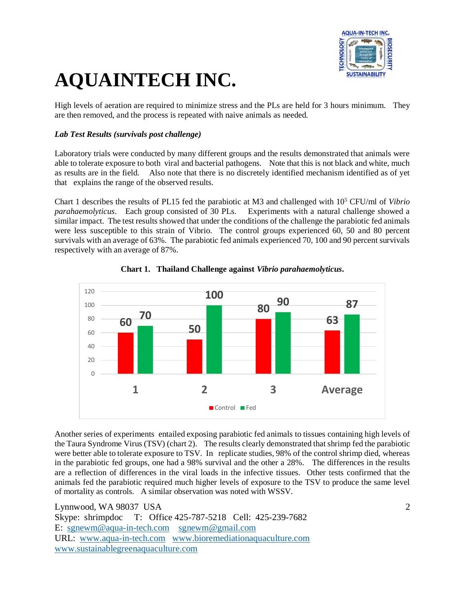

High levels of aeration are required to minimize stress and the PLs are held for 3 hours minimum. They are then removed, and the process is repeated with naive animals as needed.

### *Lab Test Results (survivals post challenge)*

Laboratory trials were conducted by many different groups and the results demonstrated that animals were able to tolerate exposure to both viral and bacterial pathogens. Note that this is not black and white, much as results are in the field. Also note that there is no discretely identified mechanism identified as of yet that explains the range of the observed results.

Chart 1 describes the results of PL15 fed the parabiotic at M3 and challenged with 10<sup>5</sup> CFU/ml of *Vibrio parahaemolyticus*. Each group consisted of 30 PLs. Experiments with a natural challenge showed a similar impact. The test results showed that under the conditions of the challenge the parabiotic fed animals were less susceptible to this strain of Vibrio. The control groups experienced 60, 50 and 80 percent survivals with an average of 63%. The parabiotic fed animals experienced 70, 100 and 90 percent survivals respectively with an average of 87%.





Another series of experiments entailed exposing parabiotic fed animals to tissues containing high levels of the Taura Syndrome Virus (TSV) (chart 2). The results clearly demonstrated that shrimp fed the parabiotic were better able to tolerate exposure to TSV. In replicate studies, 98% of the control shrimp died, whereas in the parabiotic fed groups, one had a 98% survival and the other a 28%. The differences in the results are a reflection of differences in the viral loads in the infective tissues. Other tests confirmed that the animals fed the parabiotic required much higher levels of exposure to the TSV to produce the same level of mortality as controls. A similar observation was noted with WSSV.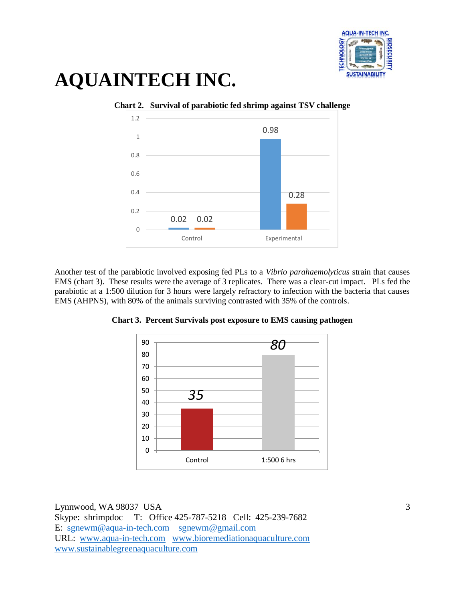



**Chart 2. Survival of parabiotic fed shrimp against TSV challenge**

Another test of the parabiotic involved exposing fed PLs to a *Vibrio parahaemolyticus* strain that causes EMS (chart 3). These results were the average of 3 replicates. There was a clear-cut impact. PLs fed the parabiotic at a 1:500 dilution for 3 hours were largely refractory to infection with the bacteria that causes EMS (AHPNS), with 80% of the animals surviving contrasted with 35% of the controls.



**Chart 3. Percent Survivals post exposure to EMS causing pathogen**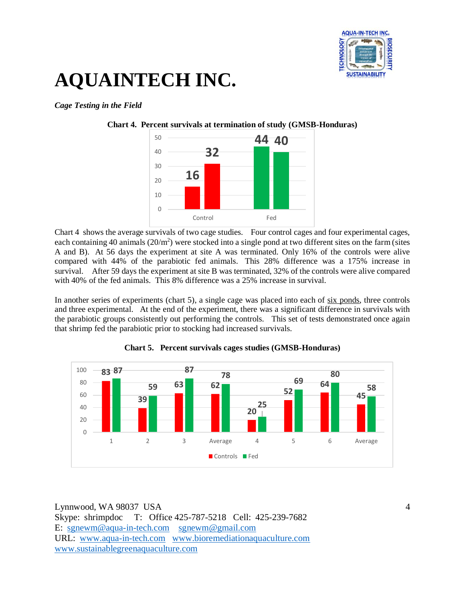

#### *Cage Testing in the Field*



Chart 4 shows the average survivals of two cage studies. Four control cages and four experimental cages, each containing 40 animals  $(20/m^2)$  were stocked into a single pond at two different sites on the farm (sites A and B). At 56 days the experiment at site A was terminated. Only 16% of the controls were alive compared with 44% of the parabiotic fed animals. This 28% difference was a 175% increase in survival. After 59 days the experiment at site B was terminated, 32% of the controls were alive compared with 40% of the fed animals. This 8% difference was a 25% increase in survival.

In another series of experiments (chart 5), a single cage was placed into each of six ponds, three controls and three experimental. At the end of the experiment, there was a significant difference in survivals with the parabiotic groups consistently out performing the controls. This set of tests demonstrated once again that shrimp fed the parabiotic prior to stocking had increased survivals.



**Chart 5. Percent survivals cages studies (GMSB-Honduras)**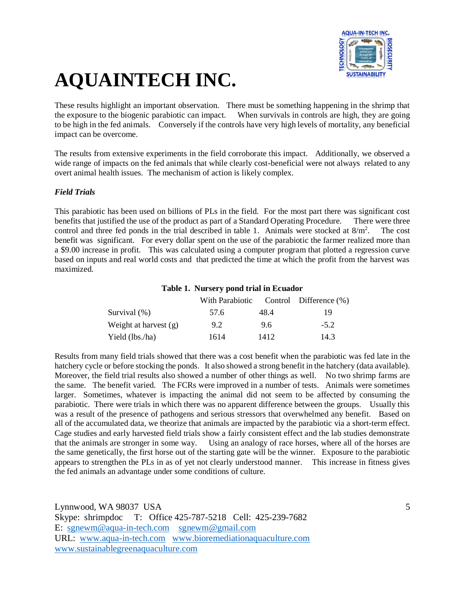

These results highlight an important observation. There must be something happening in the shrimp that the exposure to the biogenic parabiotic can impact. When survivals in controls are high, they are going to be high in the fed animals. Conversely if the controls have very high levels of mortality, any beneficial impact can be overcome.

The results from extensive experiments in the field corroborate this impact. Additionally, we observed a wide range of impacts on the fed animals that while clearly cost-beneficial were not always related to any overt animal health issues. The mechanism of action is likely complex.

#### *Field Trials*

This parabiotic has been used on billions of PLs in the field. For the most part there was significant cost benefits that justified the use of the product as part of a Standard Operating Procedure. There were three control and three fed ponds in the trial described in table 1. Animals were stocked at  $8/m<sup>2</sup>$ . . The cost benefit was significant. For every dollar spent on the use of the parabiotic the farmer realized more than a \$9.00 increase in profit. This was calculated using a computer program that plotted a regression curve based on inputs and real world costs and that predicted the time at which the profit from the harvest was maximized.

#### **Table 1. Nursery pond trial in Ecuador**

|                         | With Parabiotic |      | Control Difference $(\% )$ |
|-------------------------|-----------------|------|----------------------------|
| Survival $(\% )$        | 57.6            | 48.4 | 19                         |
| Weight at harvest $(g)$ | 9.2             | 9.6  | $-5.2$                     |
| Yield (lbs./ha)         | 1614            | 1412 | 14.3                       |

Results from many field trials showed that there was a cost benefit when the parabiotic was fed late in the hatchery cycle or before stocking the ponds. It also showed a strong benefit in the hatchery (data available). Moreover, the field trial results also showed a number of other things as well. No two shrimp farms are the same. The benefit varied. The FCRs were improved in a number of tests. Animals were sometimes larger. Sometimes, whatever is impacting the animal did not seem to be affected by consuming the parabiotic. There were trials in which there was no apparent difference between the groups. Usually this was a result of the presence of pathogens and serious stressors that overwhelmed any benefit. Based on all of the accumulated data, we theorize that animals are impacted by the parabiotic via a short-term effect. Cage studies and early harvested field trials show a fairly consistent effect and the lab studies demonstrate that the animals are stronger in some way. Using an analogy of race horses, where all of the horses are the same genetically, the first horse out of the starting gate will be the winner. Exposure to the parabiotic appears to strengthen the PLs in as of yet not clearly understood manner. This increase in fitness gives the fed animals an advantage under some conditions of culture.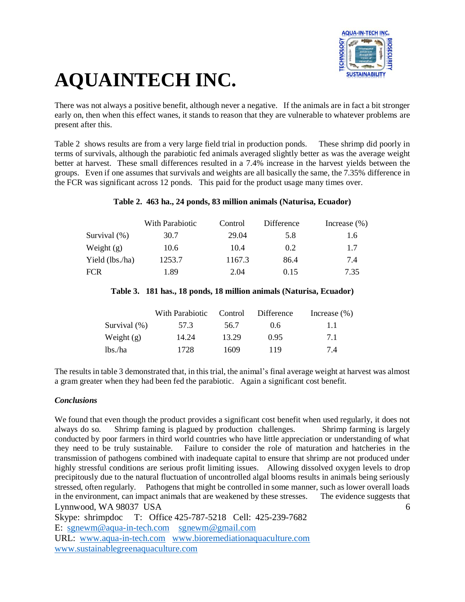

There was not always a positive benefit, although never a negative. If the animals are in fact a bit stronger early on, then when this effect wanes, it stands to reason that they are vulnerable to whatever problems are present after this.

Table 2 shows results are from a very large field trial in production ponds. These shrimp did poorly in terms of survivals, although the parabiotic fed animals averaged slightly better as was the average weight better at harvest. These small differences resulted in a 7.4% increase in the harvest yields between the groups. Even if one assumes that survivals and weights are all basically the same, the 7.35% difference in the FCR was significant across 12 ponds. This paid for the product usage many times over.

#### **Table 2. 463 ha., 24 ponds, 83 million animals (Naturisa, Ecuador)**

|                 | With Parabiotic | Control | Difference | Increase $(\% )$ |
|-----------------|-----------------|---------|------------|------------------|
| Survival (%)    | 30.7            | 29.04   | 5.8        | 1.6              |
| Weight $(g)$    | 10.6            | 10.4    | 0.2        | 1.7              |
| Yield (lbs./ha) | 1253.7          | 1167.3  | 86.4       | 7.4              |
| FCR             | 1.89            | 2.04    | 0.15       | 7.35             |

#### **Table 3. 181 has., 18 ponds, 18 million animals (Naturisa, Ecuador)**

|                 | With Parabiotic | Control | Difference | Increase $(\% )$ |
|-----------------|-----------------|---------|------------|------------------|
| Survival $(\%)$ | 57.3            | 56.7    | 0.6        | 11               |
| Weight $(g)$    | 14.24           | 13.29   | 0.95       | 71               |
| lbs./ha         | 1728            | 1609    | 119        | 7.4              |

The results in table 3 demonstrated that, in this trial, the animal's final average weight at harvest was almost a gram greater when they had been fed the parabiotic. Again a significant cost benefit.

#### *Conclusions*

Lynnwood, WA 98037 USA 6 We found that even though the product provides a significant cost benefit when used regularly, it does not always do so. Shrimp faming is plagued by production challenges. Shrimp farming is largely conducted by poor farmers in third world countries who have little appreciation or understanding of what they need to be truly sustainable. Failure to consider the role of maturation and hatcheries in the transmission of pathogens combined with inadequate capital to ensure that shrimp are not produced under highly stressful conditions are serious profit limiting issues. Allowing dissolved oxygen levels to drop precipitously due to the natural fluctuation of uncontrolled algal blooms results in animals being seriously stressed, often regularly. Pathogens that might be controlled in some manner, such as lower overall loads in the environment, can impact animals that are weakened by these stresses. The evidence suggests that